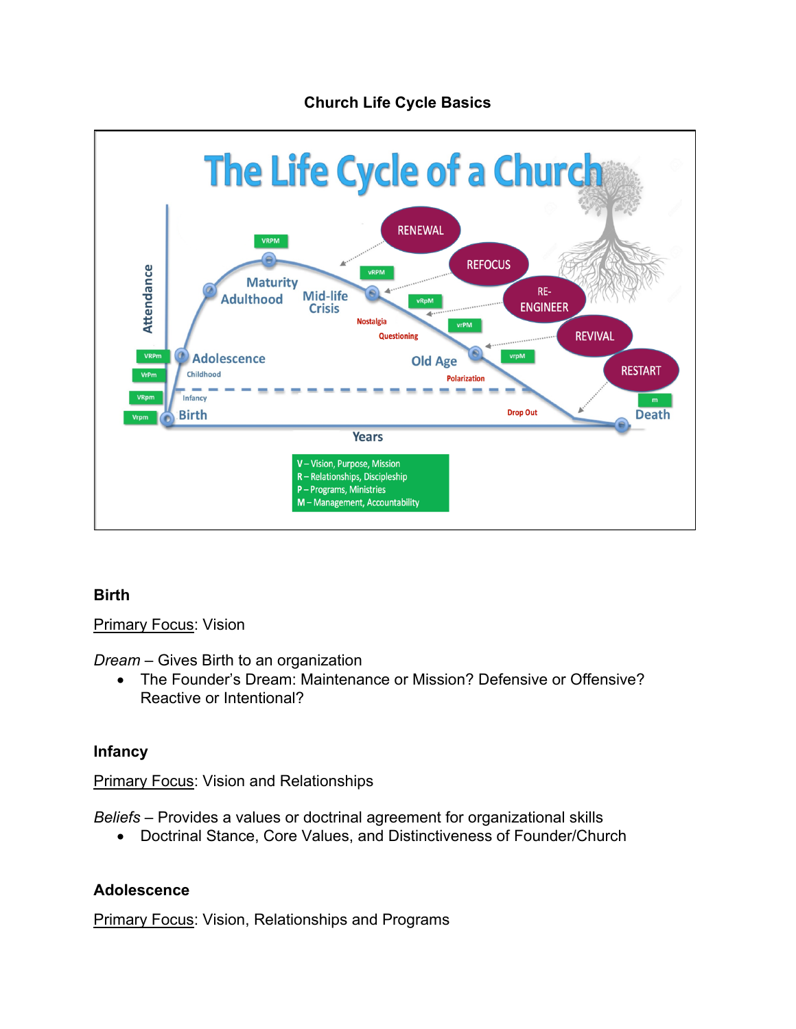# **Church Life Cycle Basics**



# **Birth**

**Primary Focus: Vision** 

*Dream* – Gives Birth to an organization

• The Founder's Dream: Maintenance or Mission? Defensive or Offensive? Reactive or Intentional?

### **Infancy**

Primary Focus: Vision and Relationships

*Beliefs* – Provides a values or doctrinal agreement for organizational skills

• Doctrinal Stance, Core Values, and Distinctiveness of Founder/Church

### **Adolescence**

Primary Focus: Vision, Relationships and Programs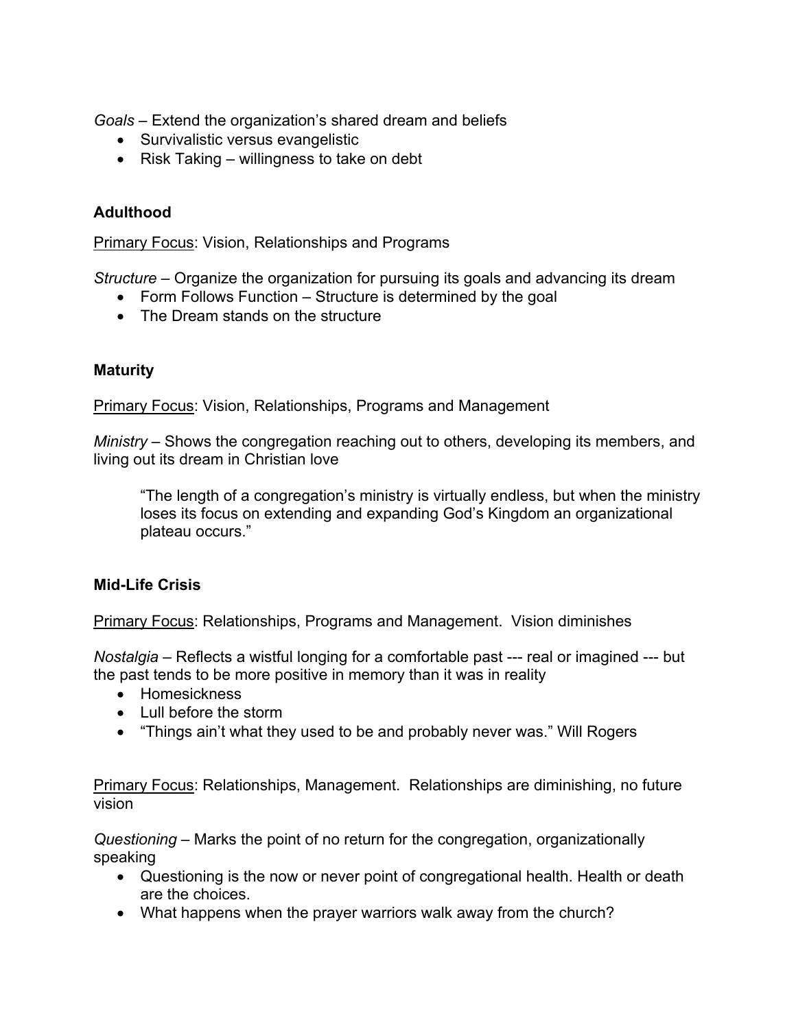*Goals* – Extend the organization's shared dream and beliefs

- Survivalistic versus evangelistic
- Risk Taking willingness to take on debt

## **Adulthood**

Primary Focus: Vision, Relationships and Programs

*Structure* – Organize the organization for pursuing its goals and advancing its dream

- Form Follows Function Structure is determined by the goal
- The Dream stands on the structure

## **Maturity**

Primary Focus: Vision, Relationships, Programs and Management

*Ministry* – Shows the congregation reaching out to others, developing its members, and living out its dream in Christian love

"The length of a congregation's ministry is virtually endless, but when the ministry loses its focus on extending and expanding God's Kingdom an organizational plateau occurs."

### **Mid-Life Crisis**

Primary Focus: Relationships, Programs and Management. Vision diminishes

*Nostalgia* – Reflects a wistful longing for a comfortable past --- real or imagined --- but the past tends to be more positive in memory than it was in reality

- Homesickness
- Lull before the storm
- "Things ain't what they used to be and probably never was." Will Rogers

Primary Focus: Relationships, Management. Relationships are diminishing, no future vision

*Questioning* – Marks the point of no return for the congregation, organizationally speaking

- Questioning is the now or never point of congregational health. Health or death are the choices.
- What happens when the prayer warriors walk away from the church?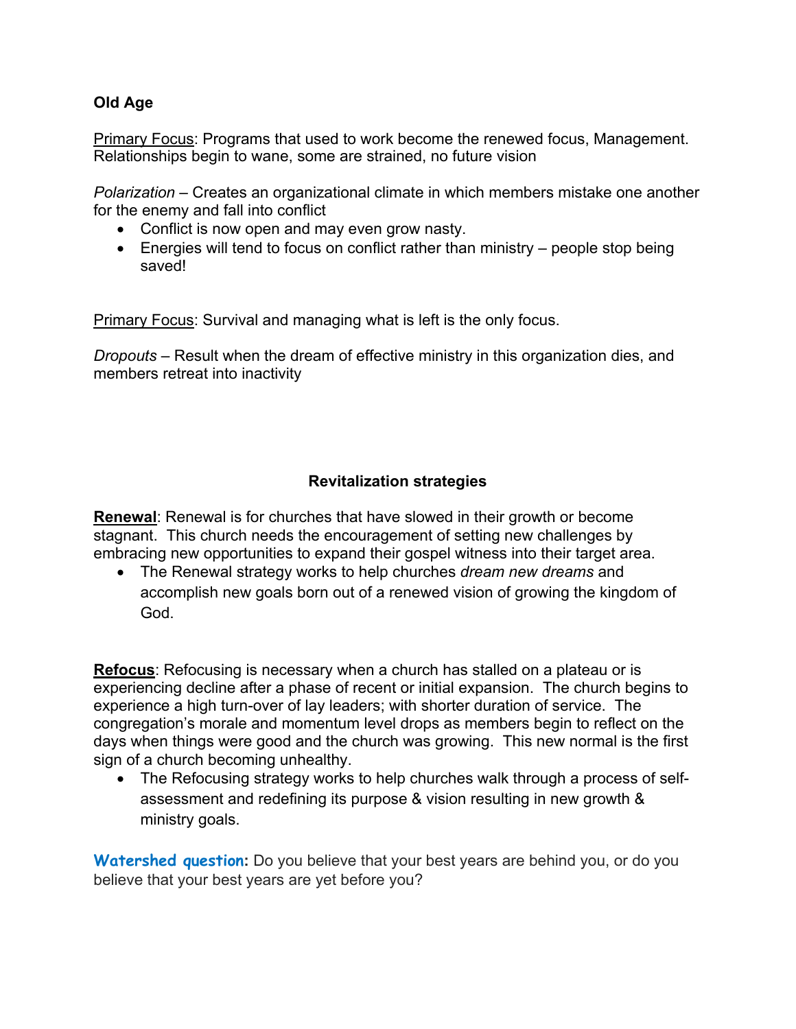## **Old Age**

Primary Focus: Programs that used to work become the renewed focus, Management. Relationships begin to wane, some are strained, no future vision

*Polarization* – Creates an organizational climate in which members mistake one another for the enemy and fall into conflict

- Conflict is now open and may even grow nasty.
- Energies will tend to focus on conflict rather than ministry people stop being saved!

**Primary Focus:** Survival and managing what is left is the only focus.

*Dropouts* – Result when the dream of effective ministry in this organization dies, and members retreat into inactivity

# **Revitalization strategies**

**Renewal**: Renewal is for churches that have slowed in their growth or become stagnant. This church needs the encouragement of setting new challenges by embracing new opportunities to expand their gospel witness into their target area.

• The Renewal strategy works to help churches *dream new dreams* and accomplish new goals born out of a renewed vision of growing the kingdom of God.

**Refocus**: Refocusing is necessary when a church has stalled on a plateau or is experiencing decline after a phase of recent or initial expansion. The church begins to experience a high turn-over of lay leaders; with shorter duration of service. The congregation's morale and momentum level drops as members begin to reflect on the days when things were good and the church was growing. This new normal is the first sign of a church becoming unhealthy.

• The Refocusing strategy works to help churches walk through a process of selfassessment and redefining its purpose & vision resulting in new growth & ministry goals.

**Watershed question:** Do you believe that your best years are behind you, or do you believe that your best years are yet before you?